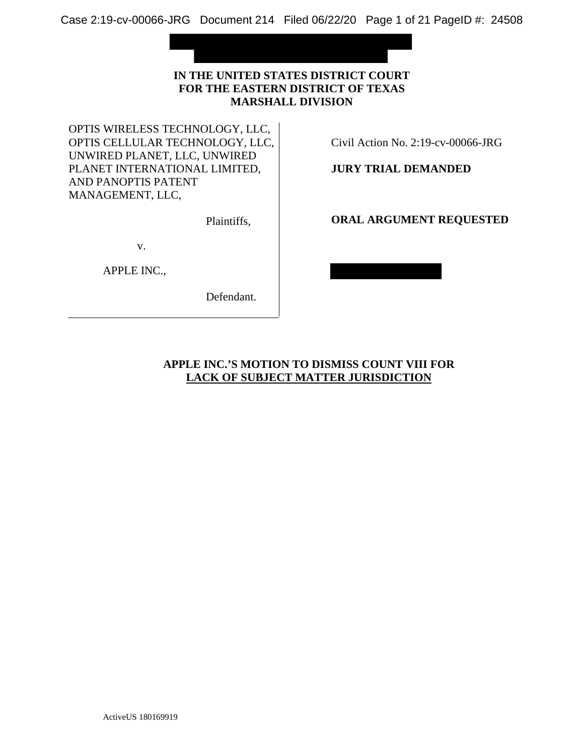## **IN THE UNITED STATES DISTRICT COURT FOR THE EASTERN DISTRICT OF TEXAS MARSHALL DIVISION**

OPTIS WIRELESS TECHNOLOGY, LLC, OPTIS CELLULAR TECHNOLOGY, LLC, UNWIRED PLANET, LLC, UNWIRED PLANET INTERNATIONAL LIMITED, AND PANOPTIS PATENT MANAGEMENT, LLC,

Civil Action No. 2:19-cv-00066-JRG

**JURY TRIAL DEMANDED**

Plaintiffs,

v.

APPLE INC.,

Defendant.

**ORAL ARGUMENT REQUESTED**

## **APPLE INC.'S MOTION TO DISMISS COUNT VIII FOR LACK OF SUBJECT MATTER JURISDICTION**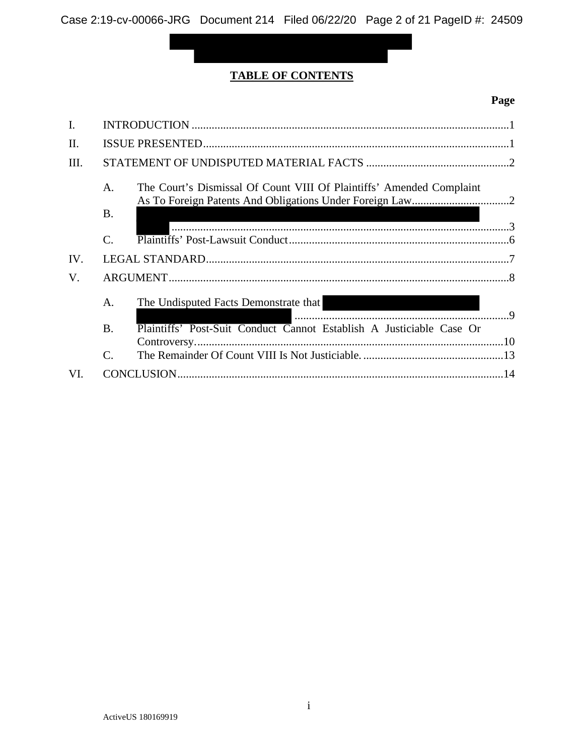# **TABLE OF CONTENTS**

## **Page**

| $\mathbf{I}$ . |                 |                                                                      |  |  |  |
|----------------|-----------------|----------------------------------------------------------------------|--|--|--|
| $\Pi$ .        |                 |                                                                      |  |  |  |
| III.           |                 |                                                                      |  |  |  |
|                | А.<br><b>B.</b> | The Court's Dismissal Of Count VIII Of Plaintiffs' Amended Complaint |  |  |  |
|                | C.              |                                                                      |  |  |  |
| IV.            |                 |                                                                      |  |  |  |
| V.             |                 |                                                                      |  |  |  |
|                | A.              | The Undisputed Facts Demonstrate that<br>$\dots 9$                   |  |  |  |
|                | <b>B.</b>       | Plaintiffs' Post-Suit Conduct Cannot Establish A Justiciable Case Or |  |  |  |
|                | $\mathcal{C}$ . |                                                                      |  |  |  |
| VI.            |                 |                                                                      |  |  |  |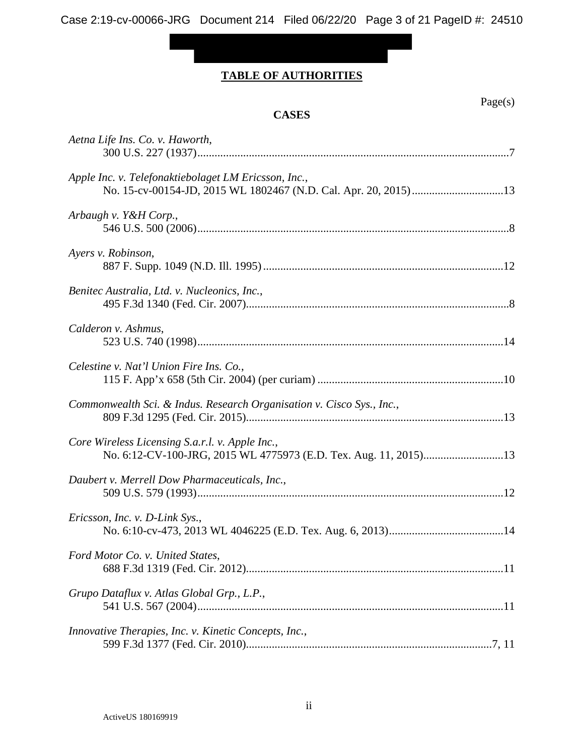Case 2:19-cv-00066-JRG Document 214 Filed 06/22/20 Page 3 of 21 PageID #: 24510

## **TABLE OF AUTHORITIES**

## **CASES**

| Aetna Life Ins. Co. v. Haworth,                                                                                     |
|---------------------------------------------------------------------------------------------------------------------|
| Apple Inc. v. Telefonaktiebolaget LM Ericsson, Inc.,                                                                |
| Arbaugh v. Y&H Corp.,                                                                                               |
| Ayers v. Robinson,                                                                                                  |
| Benitec Australia, Ltd. v. Nucleonics, Inc.,                                                                        |
| Calderon v. Ashmus,                                                                                                 |
| Celestine v. Nat'l Union Fire Ins. Co.,                                                                             |
| Commonwealth Sci. & Indus. Research Organisation v. Cisco Sys., Inc.,                                               |
| Core Wireless Licensing S.a.r.l. v. Apple Inc.,<br>No. 6:12-CV-100-JRG, 2015 WL 4775973 (E.D. Tex. Aug. 11, 2015)13 |
| Daubert v. Merrell Dow Pharmaceuticals, Inc.,                                                                       |
| Ericsson, Inc. v. D-Link Sys.,                                                                                      |
| Ford Motor Co. v. United States,                                                                                    |
| Grupo Dataflux v. Atlas Global Grp., L.P.,                                                                          |
| Innovative Therapies, Inc. v. Kinetic Concepts, Inc.,                                                               |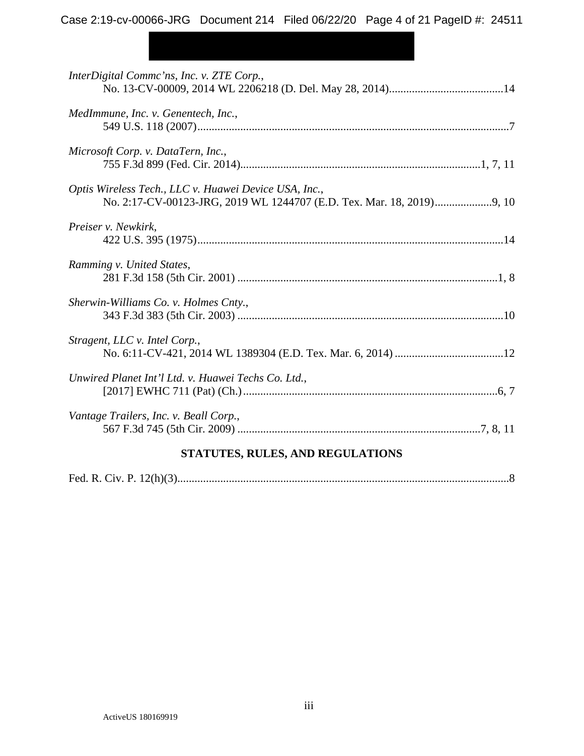| InterDigital Commc'ns, Inc. v. ZTE Corp.,             |
|-------------------------------------------------------|
| MedImmune, Inc. v. Genentech, Inc.,                   |
| Microsoft Corp. v. DataTern, Inc.,                    |
| Optis Wireless Tech., LLC v. Huawei Device USA, Inc., |
| Preiser v. Newkirk,                                   |
| Ramming v. United States,                             |
| Sherwin-Williams Co. v. Holmes Cnty.,                 |
| Stragent, LLC v. Intel Corp.,                         |
| Unwired Planet Int'l Ltd. v. Huawei Techs Co. Ltd.,   |
| Vantage Trailers, Inc. v. Beall Corp.,                |
| STATUTES, RULES, AND REGULATIONS                      |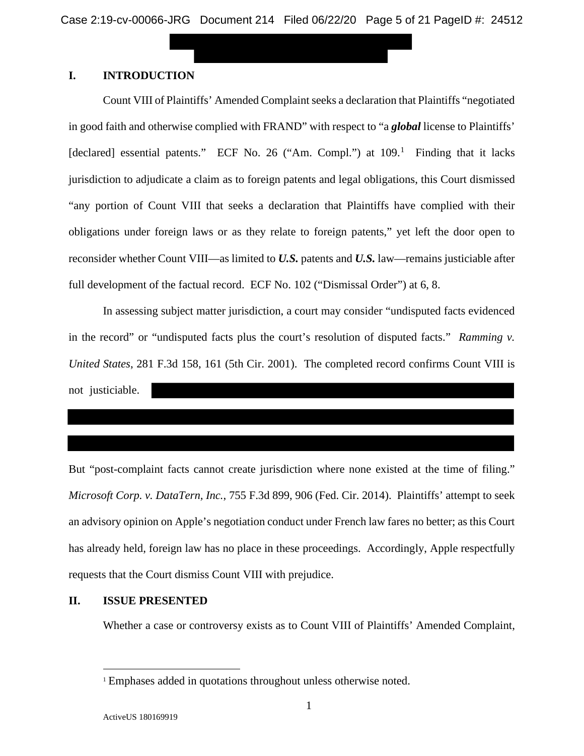#### <span id="page-4-0"></span>**I. INTRODUCTION**

Count VIII of Plaintiffs' Amended Complaint seeks a declaration that Plaintiffs "negotiated in good faith and otherwise complied with FRAND" with respect to "a *global* license to Plaintiffs' [declared] essential patents." ECF No. 26 ("Am. Compl.") at [1](#page-4-2)09.<sup>1</sup> Finding that it lacks jurisdiction to adjudicate a claim as to foreign patents and legal obligations, this Court dismissed "any portion of Count VIII that seeks a declaration that Plaintiffs have complied with their obligations under foreign laws or as they relate to foreign patents," yet left the door open to reconsider whether Count VIII—as limited to *U.S.* patents and *U.S.* law—remains justiciable after full development of the factual record. ECF No. 102 ("Dismissal Order") at 6, 8.

In assessing subject matter jurisdiction, a court may consider "undisputed facts evidenced in the record" or "undisputed facts plus the court's resolution of disputed facts." *Ramming v. United States*, 281 F.3d 158, 161 (5th Cir. 2001). The completed record confirms Count VIII is not justiciable.

But "post-complaint facts cannot create jurisdiction where none existed at the time of filing." *Microsoft Corp. v. DataTern, Inc.*, 755 F.3d 899, 906 (Fed. Cir. 2014). Plaintiffs' attempt to seek an advisory opinion on Apple's negotiation conduct under French law fares no better; as this Court has already held, foreign law has no place in these proceedings. Accordingly, Apple respectfully requests that the Court dismiss Count VIII with prejudice.

#### <span id="page-4-1"></span>**II. ISSUE PRESENTED**

Whether a case or controversy exists as to Count VIII of Plaintiffs' Amended Complaint,

<span id="page-4-2"></span><sup>1</sup> Emphases added in quotations throughout unless otherwise noted.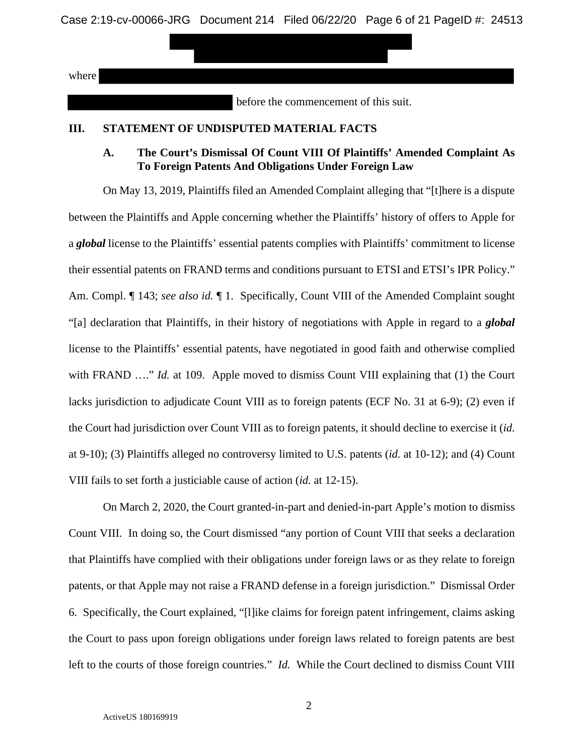Case 2:19-cv-00066-JRG Document 214 Filed 06/22/20 Page 6 of 21 PageID #: 24513

where

before the commencement of this suit.

#### <span id="page-5-1"></span><span id="page-5-0"></span>**III. STATEMENT OF UNDISPUTED MATERIAL FACTS**

#### **A. The Court's Dismissal Of Count VIII Of Plaintiffs' Amended Complaint As To Foreign Patents And Obligations Under Foreign Law**

On May 13, 2019, Plaintiffs filed an Amended Complaint alleging that "[t]here is a dispute between the Plaintiffs and Apple concerning whether the Plaintiffs' history of offers to Apple for a *global* license to the Plaintiffs' essential patents complies with Plaintiffs' commitment to license their essential patents on FRAND terms and conditions pursuant to ETSI and ETSI's IPR Policy." Am. Compl. ¶ 143; *see also id.* ¶ 1. Specifically, Count VIII of the Amended Complaint sought "[a] declaration that Plaintiffs, in their history of negotiations with Apple in regard to a *global*  license to the Plaintiffs' essential patents, have negotiated in good faith and otherwise complied with FRAND ...." *Id.* at 109. Apple moved to dismiss Count VIII explaining that (1) the Court lacks jurisdiction to adjudicate Count VIII as to foreign patents (ECF No. 31 at 6-9); (2) even if the Court had jurisdiction over Count VIII as to foreign patents, it should decline to exercise it (*id.* at 9-10); (3) Plaintiffs alleged no controversy limited to U.S. patents (*id.* at 10-12); and (4) Count VIII fails to set forth a justiciable cause of action (*id.* at 12-15).

On March 2, 2020, the Court granted-in-part and denied-in-part Apple's motion to dismiss Count VIII. In doing so, the Court dismissed "any portion of Count VIII that seeks a declaration that Plaintiffs have complied with their obligations under foreign laws or as they relate to foreign patents, or that Apple may not raise a FRAND defense in a foreign jurisdiction." Dismissal Order 6. Specifically, the Court explained, "[l]ike claims for foreign patent infringement, claims asking the Court to pass upon foreign obligations under foreign laws related to foreign patents are best left to the courts of those foreign countries." *Id.* While the Court declined to dismiss Count VIII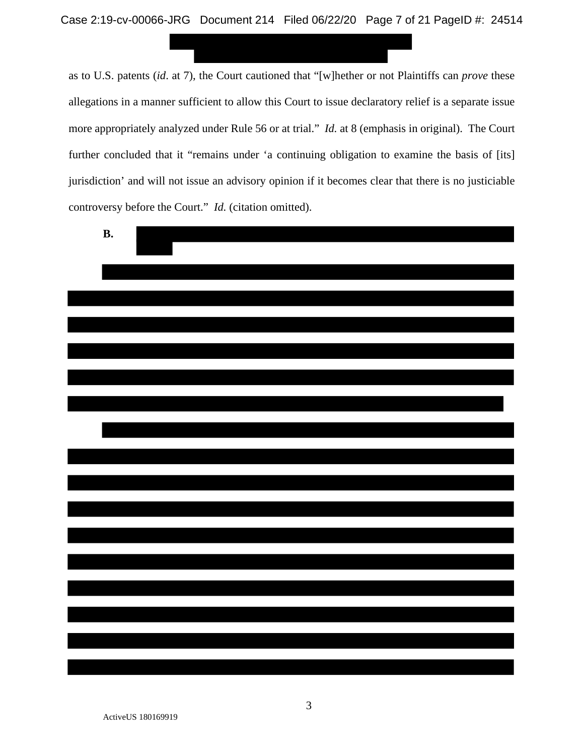as to U.S. patents (*id*. at 7), the Court cautioned that "[w]hether or not Plaintiffs can *prove* these allegations in a manner sufficient to allow this Court to issue declaratory relief is a separate issue more appropriately analyzed under Rule 56 or at trial." *Id.* at 8 (emphasis in original). The Court further concluded that it "remains under 'a continuing obligation to examine the basis of [its] jurisdiction' and will not issue an advisory opinion if it becomes clear that there is no justiciable controversy before the Court." *Id.* (citation omitted).

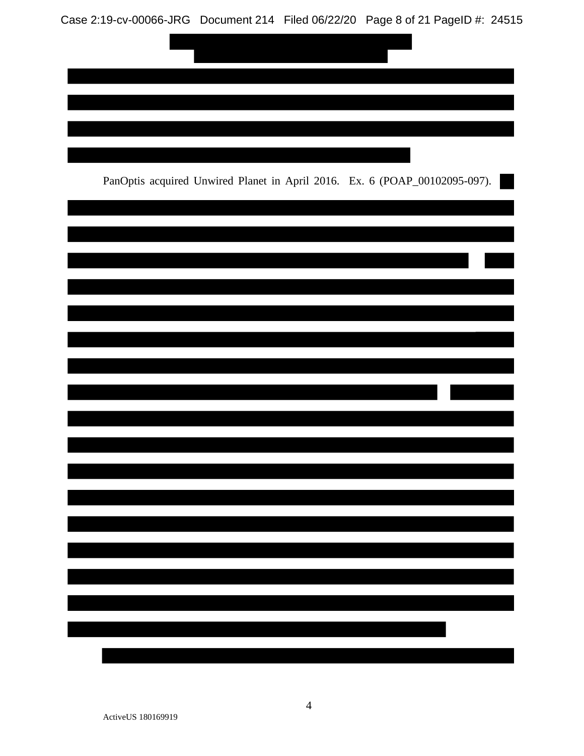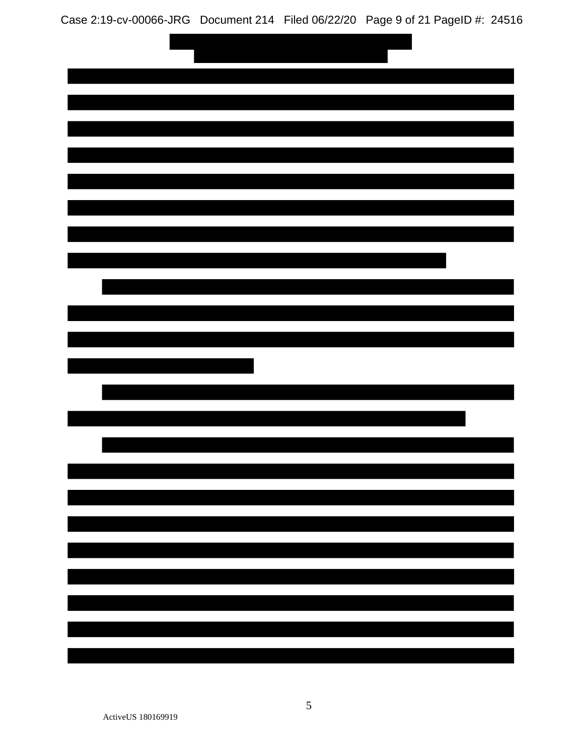Case 2:19-cv-00066-JRG Document 214 Filed 06/22/20 Page 9 of 21 PageID #: 24516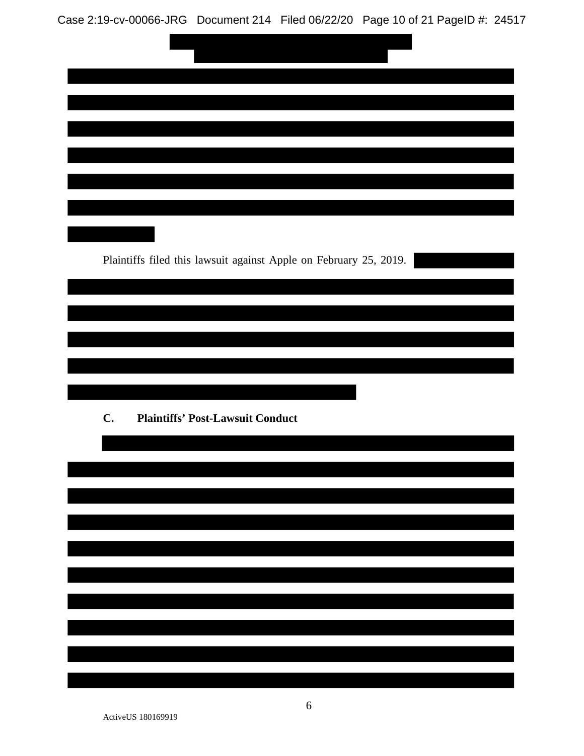Case 2:19-cv-00066-JRG Document 214 Filed 06/22/20 Page 10 of 21 PageID #: 24517

| Plaintiffs filed this lawsuit against Apple on February 25, 2019. |
|-------------------------------------------------------------------|
|                                                                   |
|                                                                   |
|                                                                   |
|                                                                   |
|                                                                   |
|                                                                   |
| $C_{\bullet}$<br><b>Plaintiffs' Post-Lawsuit Conduct</b>          |
|                                                                   |
|                                                                   |
|                                                                   |
|                                                                   |
|                                                                   |
|                                                                   |
|                                                                   |
|                                                                   |
|                                                                   |
|                                                                   |
|                                                                   |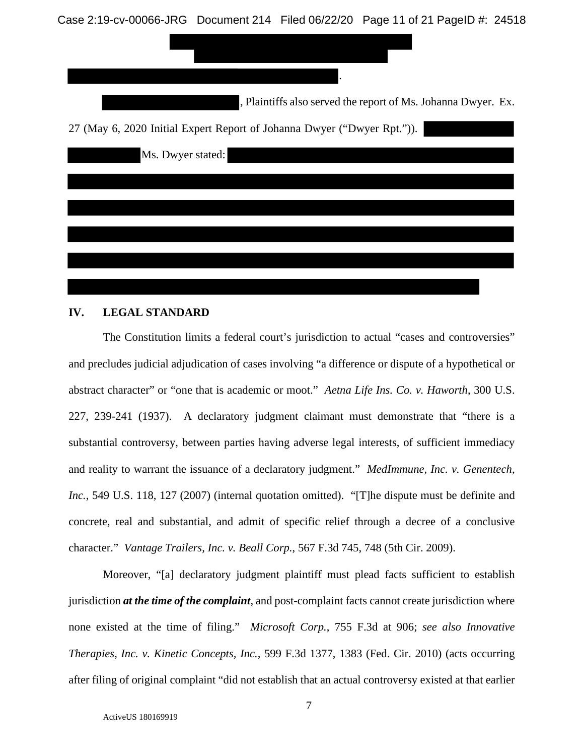

## <span id="page-10-0"></span>**IV. LEGAL STANDARD**

The Constitution limits a federal court's jurisdiction to actual "cases and controversies" and precludes judicial adjudication of cases involving "a difference or dispute of a hypothetical or abstract character" or "one that is academic or moot." *Aetna Life Ins. Co. v. Haworth*, 300 U.S. 227, 239-241 (1937). A declaratory judgment claimant must demonstrate that "there is a substantial controversy, between parties having adverse legal interests, of sufficient immediacy and reality to warrant the issuance of a declaratory judgment." *MedImmune, Inc. v. Genentech, Inc.*, 549 U.S. 118, 127 (2007) (internal quotation omitted). "[T]he dispute must be definite and concrete, real and substantial, and admit of specific relief through a decree of a conclusive character." *Vantage Trailers, Inc. v. Beall Corp.*, 567 F.3d 745, 748 (5th Cir. 2009).

Moreover, "[a] declaratory judgment plaintiff must plead facts sufficient to establish jurisdiction *at the time of the complaint*, and post-complaint facts cannot create jurisdiction where none existed at the time of filing." *Microsoft Corp.*, 755 F.3d at 906; *see also Innovative Therapies, Inc. v. Kinetic Concepts, Inc.*, 599 F.3d 1377, 1383 (Fed. Cir. 2010) (acts occurring after filing of original complaint "did not establish that an actual controversy existed at that earlier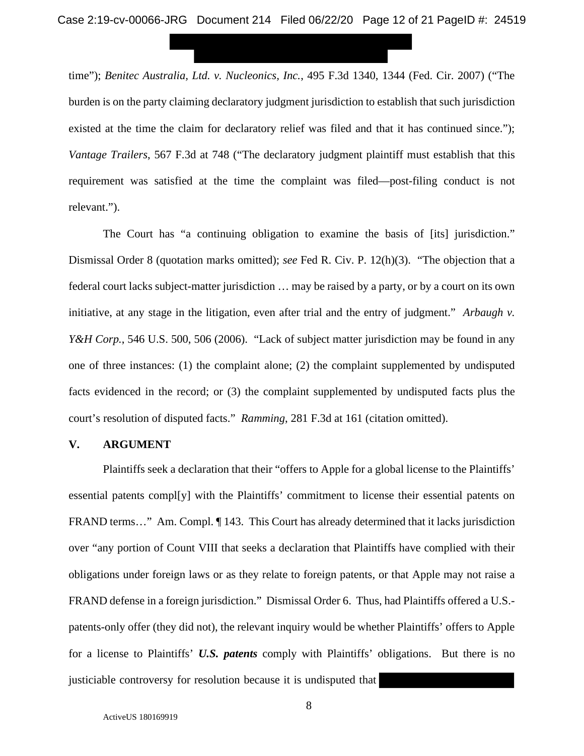time"); *Benitec Australia, Ltd. v. Nucleonics, Inc.*, 495 F.3d 1340, 1344 (Fed. Cir. 2007) ("The burden is on the party claiming declaratory judgment jurisdiction to establish that such jurisdiction existed at the time the claim for declaratory relief was filed and that it has continued since."); *Vantage Trailers*, 567 F.3d at 748 ("The declaratory judgment plaintiff must establish that this requirement was satisfied at the time the complaint was filed—post-filing conduct is not relevant.").

The Court has "a continuing obligation to examine the basis of [its] jurisdiction." Dismissal Order 8 (quotation marks omitted); *see* Fed R. Civ. P. 12(h)(3). "The objection that a federal court lacks subject-matter jurisdiction … may be raised by a party, or by a court on its own initiative, at any stage in the litigation, even after trial and the entry of judgment." *Arbaugh v. Y&H Corp.*, 546 U.S. 500, 506 (2006). "Lack of subject matter jurisdiction may be found in any one of three instances: (1) the complaint alone; (2) the complaint supplemented by undisputed facts evidenced in the record; or (3) the complaint supplemented by undisputed facts plus the court's resolution of disputed facts." *Ramming*, 281 F.3d at 161 (citation omitted).

#### <span id="page-11-0"></span>**V. ARGUMENT**

Plaintiffs seek a declaration that their "offers to Apple for a global license to the Plaintiffs' essential patents compl[y] with the Plaintiffs' commitment to license their essential patents on FRAND terms..." Am. Compl.  $\P$  143. This Court has already determined that it lacks jurisdiction over "any portion of Count VIII that seeks a declaration that Plaintiffs have complied with their obligations under foreign laws or as they relate to foreign patents, or that Apple may not raise a FRAND defense in a foreign jurisdiction." Dismissal Order 6. Thus, had Plaintiffs offered a U.S. patents-only offer (they did not), the relevant inquiry would be whether Plaintiffs' offers to Apple for a license to Plaintiffs' *U.S. patents* comply with Plaintiffs' obligations. But there is no justiciable controversy for resolution because it is undisputed that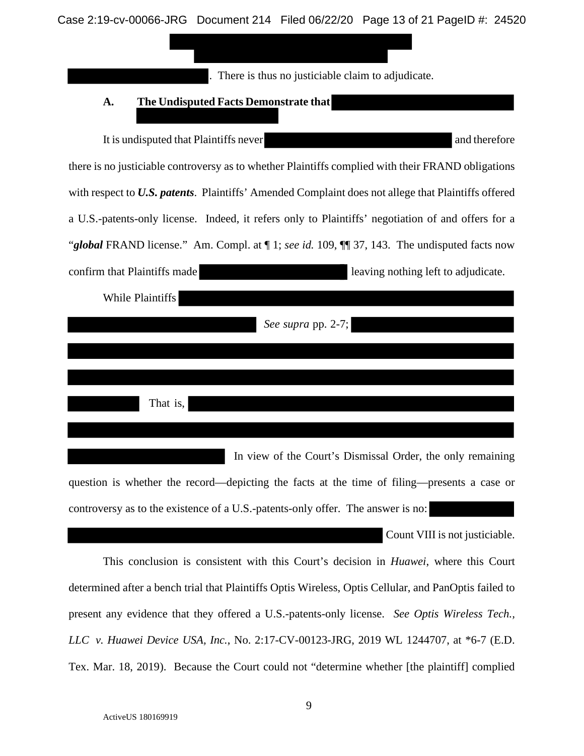. There is thus no justiciable claim to adjudicate.

#### **A. The Undisputed Facts Demonstrate that**

It is undisputed that Plaintiffs never and therefore and therefore there is no justiciable controversy as to whether Plaintiffs complied with their FRAND obligations with respect to *U.S. patents*. Plaintiffs' Amended Complaint does not allege that Plaintiffs offered a U.S.-patents-only license. Indeed, it refers only to Plaintiffs' negotiation of and offers for a "*global* FRAND license." Am. Compl. at ¶ 1; *see id.* 109, ¶¶ 37, 143. The undisputed facts now confirm that Plaintiffs made leaving nothing left to adjudicate. While Plaintiffs *See supra* pp. 2-7; That is, In view of the Court's Dismissal Order, the only remaining question is whether the record—depicting the facts at the time of filing—presents a case or controversy as to the existence of a U.S.-patents-only offer. The answer is no:

Count VIII is not justiciable.

This conclusion is consistent with this Court's decision in *Huawei*, where this Court determined after a bench trial that Plaintiffs Optis Wireless, Optis Cellular, and PanOptis failed to present any evidence that they offered a U.S.-patents-only license. *See Optis Wireless Tech., LLC v. Huawei Device USA, Inc.*, No. 2:17-CV-00123-JRG, 2019 WL 1244707, at \*6-7 (E.D. Tex. Mar. 18, 2019). Because the Court could not "determine whether [the plaintiff] complied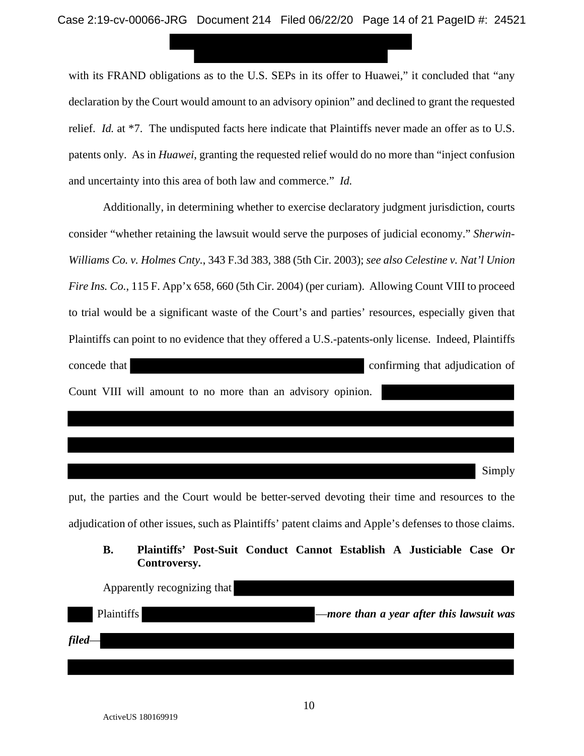with its FRAND obligations as to the U.S. SEPs in its offer to Huawei," it concluded that "any declaration by the Court would amount to an advisory opinion" and declined to grant the requested relief. *Id.* at \*7. The undisputed facts here indicate that Plaintiffs never made an offer as to U.S. patents only. As in *Huawei*, granting the requested relief would do no more than "inject confusion and uncertainty into this area of both law and commerce." *Id.*

Additionally, in determining whether to exercise declaratory judgment jurisdiction, courts consider "whether retaining the lawsuit would serve the purposes of judicial economy." *Sherwin-Williams Co. v. Holmes Cnty.*, 343 F.3d 383, 388 (5th Cir. 2003); *see also Celestine v. Nat'l Union Fire Ins. Co.*, 115 F. App'x 658, 660 (5th Cir. 2004) (per curiam). Allowing Count VIII to proceed to trial would be a significant waste of the Court's and parties' resources, especially given that Plaintiffs can point to no evidence that they offered a U.S.-patents-only license. Indeed, Plaintiffs concede that confirming that adjudication of Count VIII will amount to no more than an advisory opinion.

Simply

put, the parties and the Court would be better-served devoting their time and resources to the adjudication of other issues, such as Plaintiffs' patent claims and Apple's defenses to those claims.

## <span id="page-13-0"></span>**B. Plaintiffs' Post-Suit Conduct Cannot Establish A Justiciable Case Or Controversy.**

|            | Apparently recognizing that |                                          |
|------------|-----------------------------|------------------------------------------|
| Plaintiffs |                             | -more than a year after this lawsuit was |
| filed-     |                             |                                          |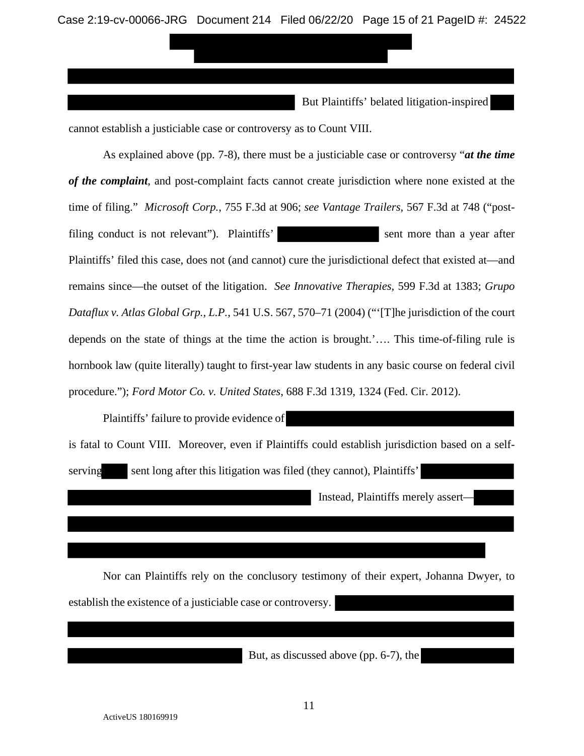But Plaintiffs' belated litigation-inspired

cannot establish a justiciable case or controversy as to Count VIII.

As explained above (pp. 7-8), there must be a justiciable case or controversy "*at the time of the complaint*, and post-complaint facts cannot create jurisdiction where none existed at the time of filing." *Microsoft Corp.*, 755 F.3d at 906; *see Vantage Trailers*, 567 F.3d at 748 ("postfiling conduct is not relevant"). Plaintiffs' sent more than a year after Plaintiffs' filed this case, does not (and cannot) cure the jurisdictional defect that existed at—and remains since—the outset of the litigation. *See Innovative Therapies*, 599 F.3d at 1383; *Grupo Dataflux v. Atlas Global Grp., L.P.*, 541 U.S. 567, 570–71 (2004) ("'[T]he jurisdiction of the court depends on the state of things at the time the action is brought.'…. This time-of-filing rule is hornbook law (quite literally) taught to first-year law students in any basic course on federal civil procedure."); *Ford Motor Co. v. United States*, 688 F.3d 1319, 1324 (Fed. Cir. 2012).

Plaintiffs' failure to provide evidence of is fatal to Count VIII. Moreover, even if Plaintiffs could establish jurisdiction based on a selfserving sent long after this litigation was filed (they cannot), Plaintiffs'

Instead, Plaintiffs merely assert—

Nor can Plaintiffs rely on the conclusory testimony of their expert, Johanna Dwyer, to establish the existence of a justiciable case or controversy.

But, as discussed above (pp. 6-7), the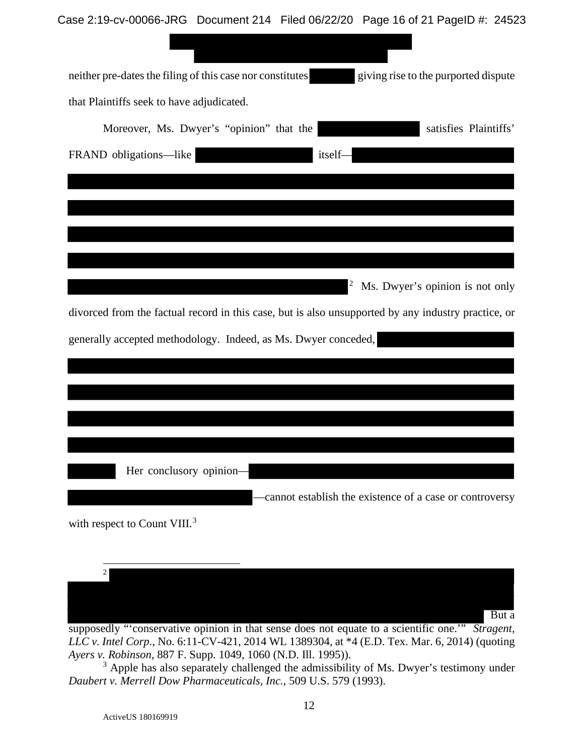| neither pre-dates the filing of this case nor constitutes                                           |                                                          |                | giving rise to the purported dispute |  |
|-----------------------------------------------------------------------------------------------------|----------------------------------------------------------|----------------|--------------------------------------|--|
| that Plaintiffs seek to have adjudicated.                                                           |                                                          |                |                                      |  |
| Moreover, Ms. Dwyer's "opinion" that the                                                            |                                                          |                | satisfies Plaintiffs'                |  |
| FRAND obligations—like                                                                              | itself-                                                  |                |                                      |  |
|                                                                                                     |                                                          |                |                                      |  |
|                                                                                                     |                                                          |                |                                      |  |
|                                                                                                     |                                                          |                |                                      |  |
|                                                                                                     |                                                          |                |                                      |  |
|                                                                                                     |                                                          | $\overline{a}$ | Ms. Dwyer's opinion is not only      |  |
| divorced from the factual record in this case, but is also unsupported by any industry practice, or |                                                          |                |                                      |  |
| generally accepted methodology. Indeed, as Ms. Dwyer conceded,                                      |                                                          |                |                                      |  |
|                                                                                                     |                                                          |                |                                      |  |
|                                                                                                     |                                                          |                |                                      |  |
|                                                                                                     |                                                          |                |                                      |  |
|                                                                                                     |                                                          |                |                                      |  |
| Her conclusory opinion-                                                                             |                                                          |                |                                      |  |
|                                                                                                     | -cannot establish the existence of a case or controversy |                |                                      |  |
| with respect to Count VIII. <sup>3</sup>                                                            |                                                          |                |                                      |  |
|                                                                                                     |                                                          |                |                                      |  |
| 2                                                                                                   |                                                          |                |                                      |  |
|                                                                                                     |                                                          |                |                                      |  |

But a

<span id="page-15-0"></span>supposedly "'conservative opinion in that sense does not equate to a scientific one.'" *Stragent, LLC v. Intel Corp.*, No. 6:11-CV-421, 2014 WL 1389304, at \*4 (E.D. Tex. Mar. 6, 2014) (quoting *Ayers v. Robinson*, 887 F. Supp. 1049, 1060 (N.D. Ill. 1995)).

<span id="page-15-1"></span><sup>3</sup> Apple has also separately challenged the admissibility of Ms. Dwyer's testimony under *Daubert v. Merrell Dow Pharmaceuticals, Inc.*, 509 U.S. 579 (1993).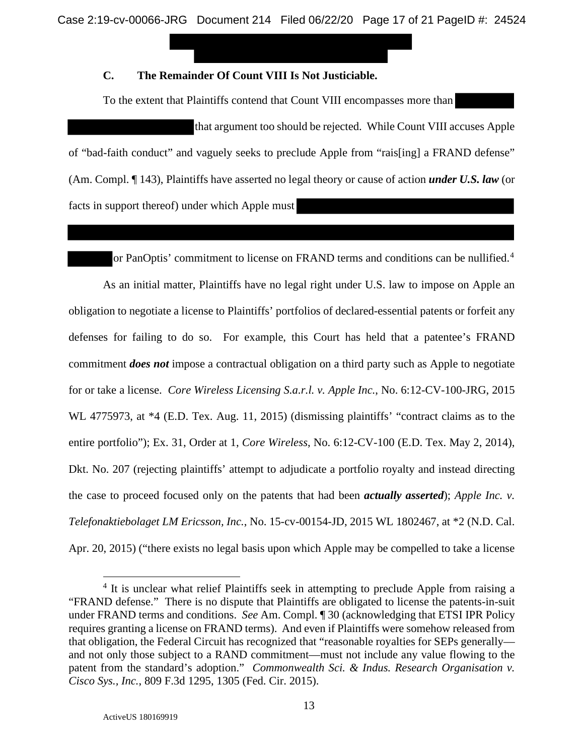#### <span id="page-16-0"></span>**C. The Remainder Of Count VIII Is Not Justiciable.**

To the extent that Plaintiffs contend that Count VIII encompasses more than

that argument too should be rejected. While Count VIII accuses Apple of "bad-faith conduct" and vaguely seeks to preclude Apple from "rais[ing] a FRAND defense" (Am. Compl. ¶ 143), Plaintiffs have asserted no legal theory or cause of action *under U.S. law* (or facts in support thereof) under which Apple must

or PanOptis' commitment to license on FRAND terms and conditions can be nullified.<sup>[4](#page-16-1)</sup> As an initial matter, Plaintiffs have no legal right under U.S. law to impose on Apple an obligation to negotiate a license to Plaintiffs' portfolios of declared-essential patents or forfeit any defenses for failing to do so. For example, this Court has held that a patentee's FRAND commitment *does not* impose a contractual obligation on a third party such as Apple to negotiate for or take a license. *Core Wireless Licensing S.a.r.l. v. Apple Inc.*, No. 6:12-CV-100-JRG, 2015 WL 4775973, at \*4 (E.D. Tex. Aug. 11, 2015) (dismissing plaintiffs' "contract claims as to the entire portfolio"); Ex. 31, Order at 1, *Core Wireless*, No. 6:12-CV-100 (E.D. Tex. May 2, 2014), Dkt. No. 207 (rejecting plaintiffs' attempt to adjudicate a portfolio royalty and instead directing the case to proceed focused only on the patents that had been *actually asserted*); *Apple Inc. v. Telefonaktiebolaget LM Ericsson, Inc.*, No. 15-cv-00154-JD, 2015 WL 1802467, at \*2 (N.D. Cal. Apr. 20, 2015) ("there exists no legal basis upon which Apple may be compelled to take a license

<span id="page-16-1"></span><sup>&</sup>lt;sup>4</sup> It is unclear what relief Plaintiffs seek in attempting to preclude Apple from raising a "FRAND defense." There is no dispute that Plaintiffs are obligated to license the patents-in-suit under FRAND terms and conditions. *See* Am. Compl. ¶ 30 (acknowledging that ETSI IPR Policy requires granting a license on FRAND terms). And even if Plaintiffs were somehow released from that obligation, the Federal Circuit has recognized that "reasonable royalties for SEPs generally and not only those subject to a RAND commitment—must not include any value flowing to the patent from the standard's adoption." *Commonwealth Sci. & Indus. Research Organisation v. Cisco Sys., Inc.*, 809 F.3d 1295, 1305 (Fed. Cir. 2015).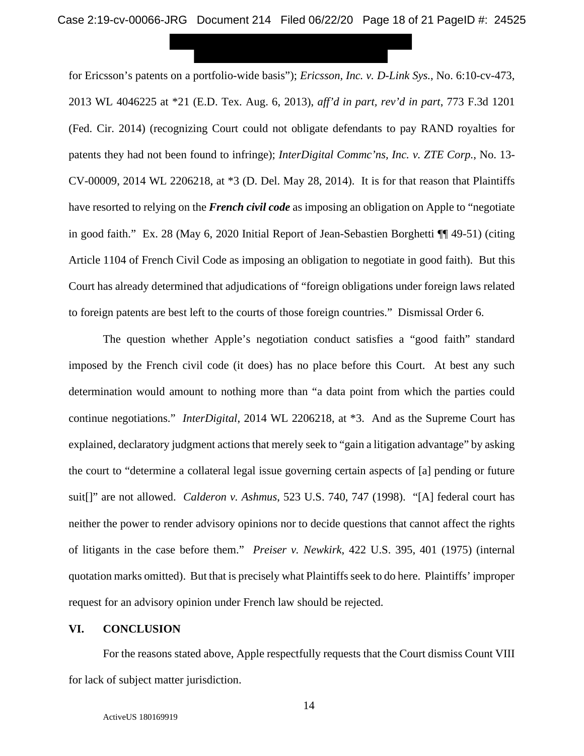for Ericsson's patents on a portfolio-wide basis"); *Ericsson, Inc. v. D-Link Sys.*, No. 6:10-cv-473, 2013 WL 4046225 at \*21 (E.D. Tex. Aug. 6, 2013), *aff'd in part, rev'd in part*, 773 F.3d 1201 (Fed. Cir. 2014) (recognizing Court could not obligate defendants to pay RAND royalties for patents they had not been found to infringe); *InterDigital Commc'ns, Inc. v. ZTE Corp.*, No. 13- CV-00009, 2014 WL 2206218, at \*3 (D. Del. May 28, 2014). It is for that reason that Plaintiffs have resorted to relying on the *French civil code* as imposing an obligation on Apple to "negotiate in good faith." Ex. 28 (May 6, 2020 Initial Report of Jean-Sebastien Borghetti ¶¶ 49-51) (citing Article 1104 of French Civil Code as imposing an obligation to negotiate in good faith). But this Court has already determined that adjudications of "foreign obligations under foreign laws related to foreign patents are best left to the courts of those foreign countries." Dismissal Order 6.

The question whether Apple's negotiation conduct satisfies a "good faith" standard imposed by the French civil code (it does) has no place before this Court. At best any such determination would amount to nothing more than "a data point from which the parties could continue negotiations." *InterDigital*, 2014 WL 2206218, at \*3. And as the Supreme Court has explained, declaratory judgment actions that merely seek to "gain a litigation advantage" by asking the court to "determine a collateral legal issue governing certain aspects of [a] pending or future suit[]" are not allowed. *Calderon v. Ashmus*, 523 U.S. 740, 747 (1998). "[A] federal court has neither the power to render advisory opinions nor to decide questions that cannot affect the rights of litigants in the case before them." *Preiser v. Newkirk*, 422 U.S. 395, 401 (1975) (internal quotation marks omitted). But that is precisely what Plaintiffs seek to do here. Plaintiffs' improper request for an advisory opinion under French law should be rejected.

#### <span id="page-17-0"></span>**VI. CONCLUSION**

For the reasons stated above, Apple respectfully requests that the Court dismiss Count VIII for lack of subject matter jurisdiction.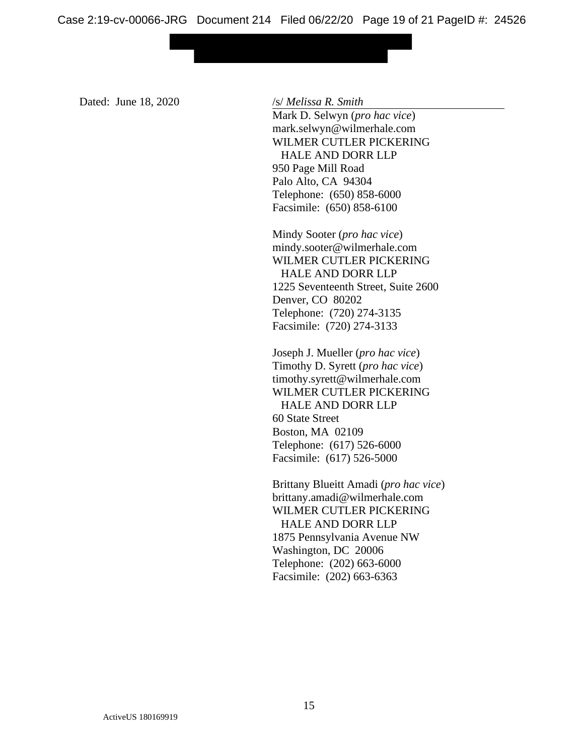Dated: June 18, 2020 /s/ *Melissa R. Smith* 

Mark D. Selwyn (*pro hac vice*) mark.selwyn@wilmerhale.com WILMER CUTLER PICKERING HALE AND DORR LLP 950 Page Mill Road Palo Alto, CA 94304 Telephone: (650) 858-6000 Facsimile: (650) 858-6100

Mindy Sooter (*pro hac vice*) mindy.sooter@wilmerhale.com WILMER CUTLER PICKERING HALE AND DORR LLP 1225 Seventeenth Street, Suite 2600 Denver, CO 80202 Telephone: (720) 274-3135 Facsimile: (720) 274-3133

Joseph J. Mueller (*pro hac vice*) Timothy D. Syrett (*pro hac vice*) timothy.syrett@wilmerhale.com WILMER CUTLER PICKERING HALE AND DORR LLP 60 State Street Boston, MA 02109 Telephone: (617) 526-6000 Facsimile: (617) 526-5000

Brittany Blueitt Amadi (*pro hac vice*) brittany.amadi@wilmerhale.com WILMER CUTLER PICKERING HALE AND DORR LLP 1875 Pennsylvania Avenue NW Washington, DC 20006 Telephone: (202) 663-6000 Facsimile: (202) 663-6363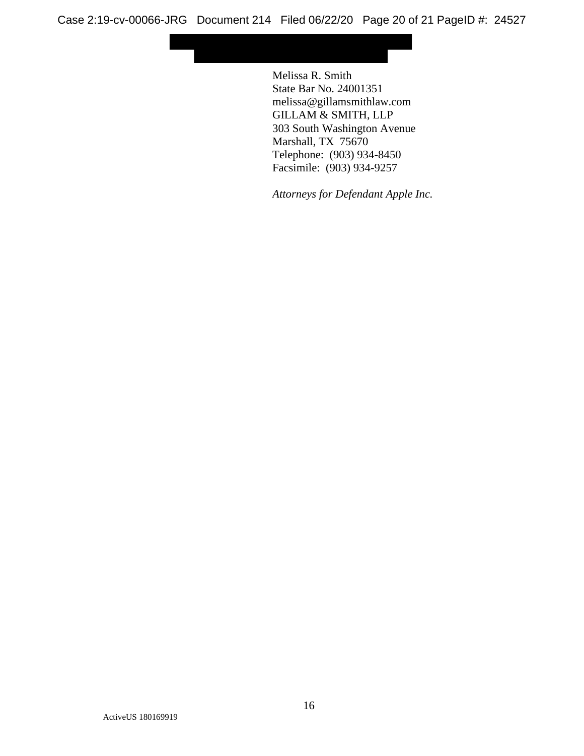Melissa R. Smith State Bar No. 24001351 melissa@gillamsmithlaw.com GILLAM & SMITH, LLP 303 South Washington Avenue Marshall, TX 75670 Telephone: (903) 934-8450 Facsimile: (903) 934-9257

*Attorneys for Defendant Apple Inc.*